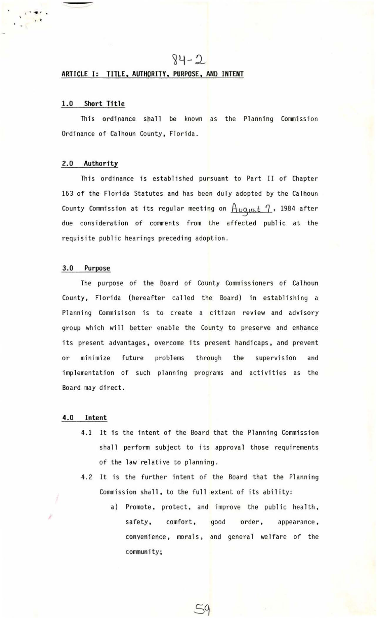# $84 - 2$

## **ARTICLE I: TITLE, AUTHORITY, PURPOSE., AND INTENT**

#### **1.0 Short Tftle**

• •

This ordinance shall be known as the Planning Commission Ordinance of Calhoun County, Florida.

# 2.0 **Authority**

This ordinance is established pursuant to Part II of Chapter 163 of the Florida Statutes and has been duly adopted by the Calhoun County Commission at its regular meeting on  $\frac{A_{UQ, USL}}{I}$ , 1984 after due consideration of comments from the affected public at the requisite public hearings preceding adoption.

## 3.0 **Purpose**

The purpose of the Board of County Commissioners of Calhoun County, Florida (hereafter called the Board) in establishing a Planning Commisison is to create a citizen review and advisory group which will better enable the County to preserve and enhance its present advantages, overcome its present handicaps, and prevent or minimize future problems through the supervision and implementation of such planning programs and activities as the Board may direct.

#### **4.0 Intent**

- 4.1 It is the intent of the Board that the Planning Commission shall perform subject to its approval those requirements of the law relative to planning.
- 4.2 It is the further intent of the Board that the Planning Commission shall, to the full extent of its ability:
	- a) Promote, protect, and improve the public health, safety, comfort, good order, appearance, convenience, morals, and general welfare of the community;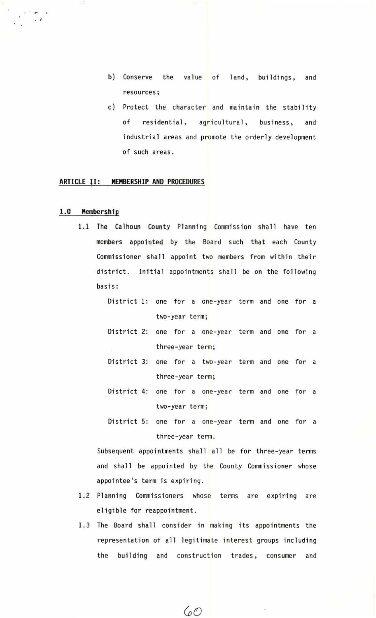- b) Conserve the value of land, buildings, and resources;
- c) Protect the character and maintain the stability of residential, agricultural, business, and industrial areas and promote the orderly development of such areas.

### **ARTICLE** JI : **MEMBERSHIP AND PROCEDURES**

#### **1.0 Membership**

...

- 1.1 The Calhoun County Planning Commission shall have ten members appointed by the Board such that each County Commissioner shall appoint two members from within their district. Initial appointments shall be on the following basis:
	- District 1: one for a one-year term and one for a two-year term;
	- District 2: one for a one-year term and one for a three-year term;
	- District 3: one for a two-year term and one for a three-year term;
	- District 4: one for a one-year term and one for a two-year term;
	- District 5: one for a one-year term and one for a three-year term.

Subsequent appointments shall all be for three-year terms and shall be appointed by the County Commissioner whose appointee's term is expiring.

- 1.2 Planning Commissioners whose terms are expiring are eligible for reappointment.
- 1.3 The Board shall consider in making its appointments the representation of all legitimate interest groups including the building and construction trades, consumer and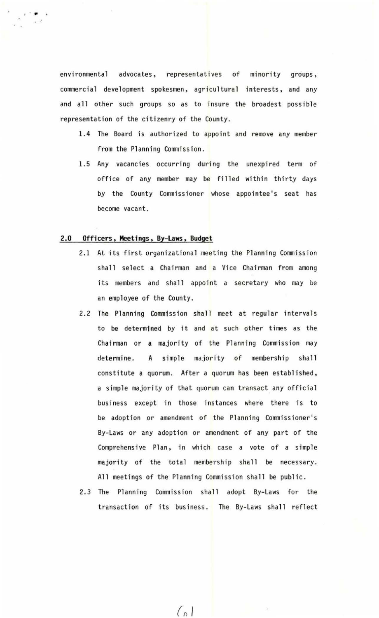environmental advocates, representatives of minority groups, commercial development spokesmen, agricultural interests, and any and all other such groups so as to insure the broadest possible representation of the citizenry of the County.

- 1.4 The Board is authorized to appoint and remove any member from the Planning Commission.
- 1.5 Any vacancies occurring during the unexpired term of office of any member may be filled within thirty days by the County Commissioner whose appointee's seat has become vacant.

## **2.0 Officers. Meetings. By-laws. Budget**

•• - **.J** 

- 2.1 At its first organizational meeting the Planning Commission shall select a Chairman and a Vice Chairman from among its members and shall appoint a secretary who may be an employee of the County.
- 2.2 The Planning Commission shall meet at regular intervals to be determined by it and at such other times as the Chairman or a majority of the Planning Commission may determine. A simple majority of membership shall constitute a quorum. After a quorum has been established, a simple majority of that quorum can transact any official business except in those instances where there is to be adoption or amendment of the Planning Commissioner's By-Laws or any adoption or amendment of any part of the Comprehensive Plan, in which case a vote of a simple majority of the total membership shall be necessary. All meetings of the Planning Commission shall be public.
- 2.3 The Planning Commission shall adopt By-Laws for the transaction of its business. The By-Laws shall reflect

 $(n)$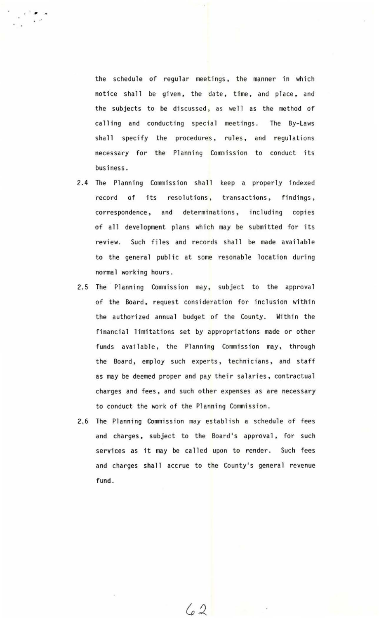the schedule of regular meetings, the manner in which notice shall be given, the date, time, and place, and the subjects to be discussed, as well as the method of calling and conducting special meetings. The By-Laws shall specify the procedures, rules, and regulations necessary for the Planning Commission to conduct its business.

. , ..

- 2.4 The Planning Commission shall keep a properly indexed record of its resolutions, transactions, findings, correspondence, and determinations, including copies of all development plans which may be submitted for its review. Such files and records shall be made available to the general public at some resonable location during normal working hours .
- 2.5 The Planning Commission may, subject to the approval of the Board, request consideration for inclusion within the authorized annual budget of the County. Within the financial limitations set by appropriations made or other funds available, the Planning Commission may, through the Board, employ such experts, technicians, and staff as may be deemed proper and pay their salaries, contractual charges and fees, and such other expenses as are necessary to conduct the work of the Planning Commission.
- 2.6 The Planning Commission may establish a schedule of fees and charges, subject to the Board's approval, for such services as it may be called upon to render. Such fees and charges shall accrue to the County's general revenue fund.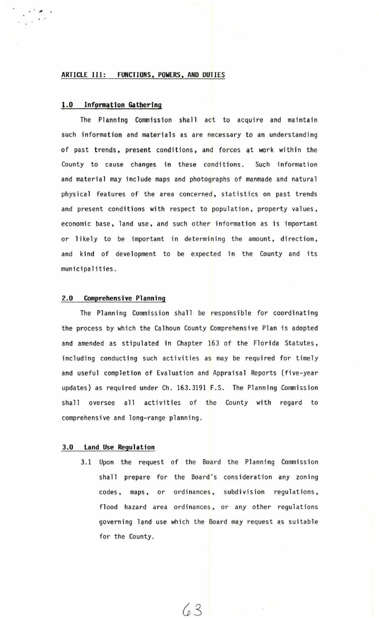## ARTICLE III: FUNCTIONS, POWERS, AND DUTIES

## 1.0 Information Gathering

, . . .

The Planning Commission shall act to acquire and maintain such information and materials as are necessary to an understanding of past trends, present conditions, and forces at work within the County to cause changes in these conditions. Such information and material may include maps and photographs of manmade and natural physical features of the area concerned, statistics on past trends and present conditions with respect to population, property values, economic base, land use, and such other information as is important or likely to be important in determining the amount, direction, and kind of development to be expected in the County and its municipalities.

#### 2.0 Comprehensive Planning

The Planning Commission shall be responsible for coordinating the process by which the Calhoun County Comprehensive Plan is adopted and amended as stipulated in Chapter 163 of the Florida Statutes, including conducting such activities as may be required for timely and useful completion of Evaluation and Appraisal Reports (five-year updates) as required under Ch. 163.3191 F.S. The Planning Commission shall oversee all activities of the County with regard to comprehensive and long-range planning.

### 3.0 land Use Regulation

3.1 Upon the request of the Board the Planning Commission shall prepare for the Board's consideration any zoning codes, maps, or ordinances, subdivision regulations, flood hazard area ordinances, or any other regulations governing land use which the Board may request as suitable for the County.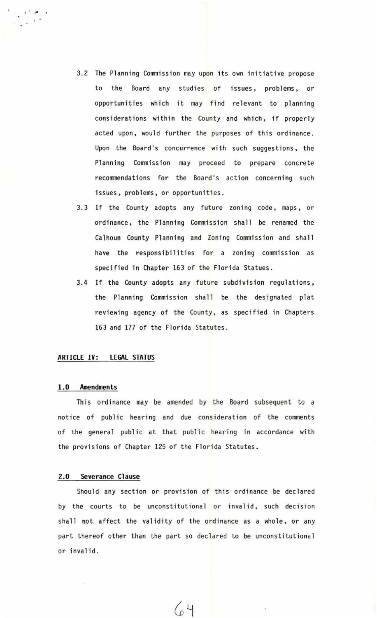- 3.2 The Planning Commission may upon its own initiative propose to the Board any studies of issues, problems, or opportunities which it may find relevant to planning considerations within the County and which, if properly acted upon, would further the purposes of this ordinance. Upon the Board's concurrence with such suggestions, the Planning Commission may proceed to prepare concrete recommendations for the Board's action concerning such issues, problems, or opportunities.
- 3. 3 If the County adopts any future zoning code, maps, or ordinance, the Planning Commission shall be renamed the Calhoun County Planning and Zoning Commission and shall have the responsibilities for a zoning commission as specified in Chapter 163 of the Florida Statues.
- 3.4 If the County adopts any future subdivision regulations, the Planning Commission shall be the designated plat reviewing agency of the County, as specified in Chapters 163 and 177 of the Florida Statutes.

## **ARTICLE** IV: **LEGAL STATUS**

#### **1.0 Amendments**

This ordinance may be amended by the Board subsequent to a notice of public hearing and due consideration of the comments of the general public at that public hearing in accordance with the provisions of Chapter 125 of the Florida Statutes .

# 2.0 **Severance Clause**

Should any section or provision of this ordinance be declared by the courts to be unconstitutional or invalid, such decision shall not affect the validity of the ordinance as a whole, or any part thereof other than the part so declared to be unconstitutional or invalid.